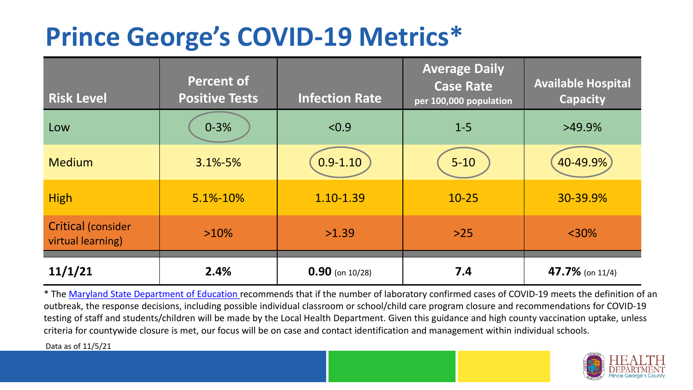## **Prince George's COVID-19 Metrics\***

| <b>Risk Level</b>                              | <b>Percent of</b><br><b>Positive Tests</b> | <b>Infection Rate</b> | <b>Average Daily</b><br><b>Case Rate</b><br>per 100,000 population | <b>Available Hospital</b><br><b>Capacity</b> |
|------------------------------------------------|--------------------------------------------|-----------------------|--------------------------------------------------------------------|----------------------------------------------|
| Low                                            | $0 - 3%$                                   | < 0.9                 | $1 - 5$                                                            | $>49.9\%$                                    |
| <b>Medium</b>                                  | 3.1%-5%                                    | $0.9 - 1.10$          | $5 - 10$                                                           | 40-49.9%                                     |
| <b>High</b>                                    | 5.1%-10%                                   | 1.10-1.39             | $10 - 25$                                                          | 30-39.9%                                     |
| <b>Critical (consider</b><br>virtual learning) | $>10\%$                                    | >1.39                 | $>25$                                                              | $<$ 30%                                      |
| 11/1/21                                        | 2.4%                                       | $0.90$ (on 10/28)     | 7.4                                                                | 47.7% (on $11/4$ )                           |

\* The [Maryland State Department of Education r](https://earlychildhood.marylandpublicschools.org/system/files/filedepot/3/covid_guidance_full_080420.pdf)ecommends that if the number of laboratory confirmed cases of COVID-19 meets the definition of an outbreak, the response decisions, including possible individual classroom or school/child care program closure and recommendations for COVID-19 testing of staff and students/children will be made by the Local Health Department. Given this guidance and high county vaccination uptake, unless criteria for countywide closure is met, our focus will be on case and contact identification and management within individual schools.

Data as of 11/5/21

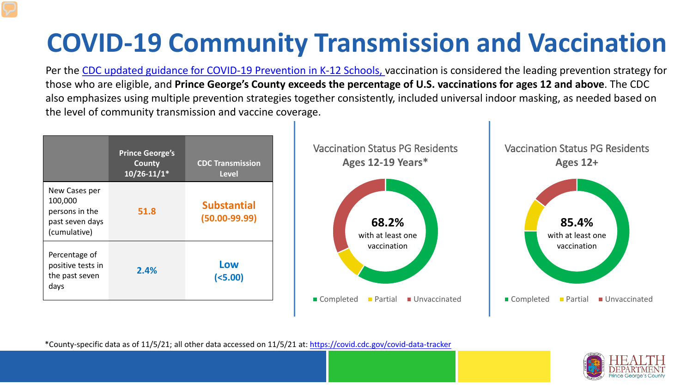# **COVID-19 Community Transmission and Vaccination**

Per the [CDC updated guidance for COVID-19 Prevention in K-12 Schools,](https://www.cdc.gov/coronavirus/2019-ncov/community/schools-childcare/k-12-guidance.html) vaccination is considered the leading prevention strategy for those who are eligible, and **Prince George's County exceeds the percentage of U.S. vaccinations for ages 12 and above**. The CDC also emphasizes using multiple prevention strategies together consistently, included universal indoor masking, as needed based on the level of community transmission and vaccine coverage.



\*County-specific data as of 11/5/21; all other data accessed on 11/5/21 at:<https://covid.cdc.gov/covid-data-tracker>

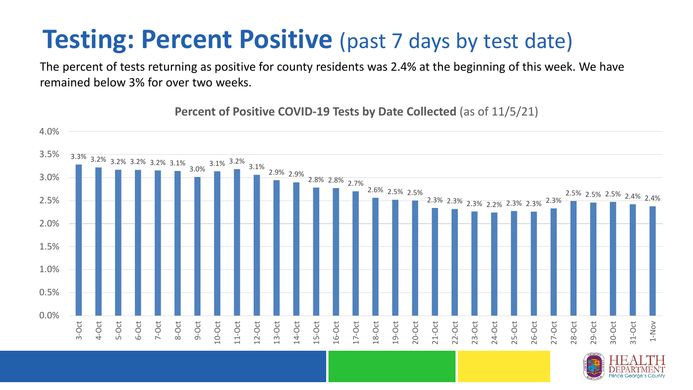### **Testing: Percent Positive** (past 7 days by test date)

The percent of tests returning as positive for county residents was 2.4% at the beginning of this week. We have remained below 3% for over two weeks.

**Percent of Positive COVID-19 Tests by Date Collected** (as of 11/5/21)

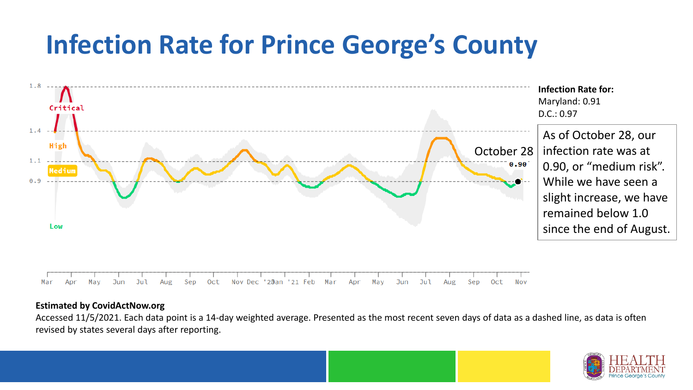## **Infection Rate for Prince George's County**



#### **Estimated by CovidActNow.org**

Accessed 11/5/2021. Each data point is a 14-day weighted average. Presented as the most recent seven days of data as a dashed line, as data is often revised by states several days after reporting.

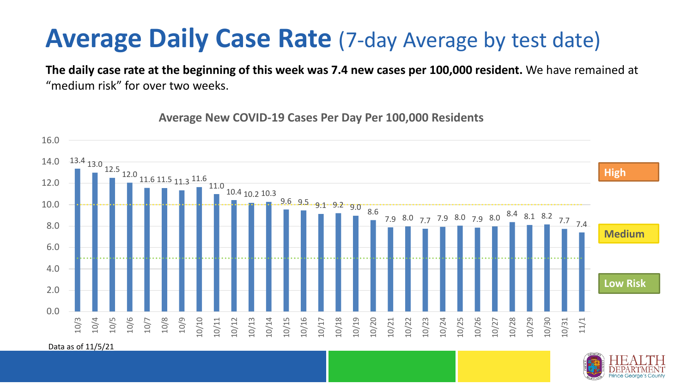#### **Average Daily Case Rate** (7-day Average by test date)

**The daily case rate at the beginning of this week was 7.4 new cases per 100,000 resident.** We have remained at "medium risk" for over two weeks.

13.4 13.0 12.5 12.0 11.6 11.5 11.3 11.6 11.0 10.4 10.2 10.3  $9.6 \cdot 9.5 \cdot 9.1 \cdot 9.2 \cdot 9.0 \cdot \dots$ 7.9 8.0 7.7 7.9 8.0 7.9 8.0 8.4 8.1 8.2 7.7 7.4 0.0 2.0 4.0 6.0 8.0 10.0 12.0 14.0 16.0 10/3 10/4 10/5 10/6 10/7 10/8 10/9 10/10 10/11 10/12 10/13 10/14 10/15 10/16 10/17 10/18 10/19 10/20 10/21 10/22 10/23 10/24 10/25 10/26 10/27 10/28 10/29 10/30 10/31 11/1 **Low Risk Medium High**

**Average New COVID-19 Cases Per Day Per 100,000 Residents**

Data as of 11/5/21